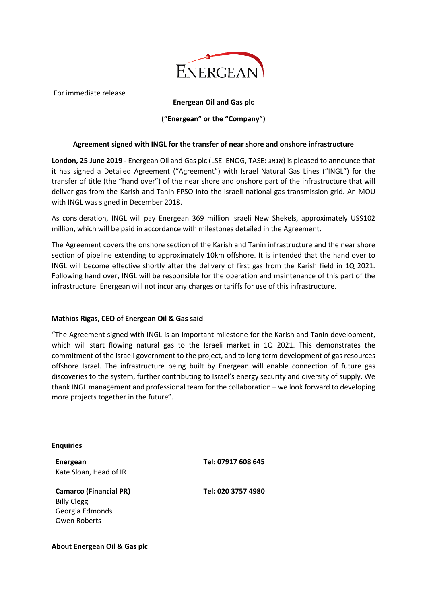

For immediate release

## **Energean Oil and Gas plc**

## **("Energean" or the "Company")**

## **Agreement signed with INGL for the transfer of near shore and onshore infrastructure**

**London, 25 June 2019 -** Energean Oil and Gas plc (LSE: ENOG, TASE: אנאג (is pleased to announce that it has signed a Detailed Agreement ("Agreement") with Israel Natural Gas Lines ("INGL") for the transfer of title (the "hand over") of the near shore and onshore part of the infrastructure that will deliver gas from the Karish and Tanin FPSO into the Israeli national gas transmission grid. An MOU with INGL was signed in December 2018.

As consideration, INGL will pay Energean 369 million Israeli New Shekels, approximately US\$102 million, which will be paid in accordance with milestones detailed in the Agreement.

The Agreement covers the onshore section of the Karish and Tanin infrastructure and the near shore section of pipeline extending to approximately 10km offshore. It is intended that the hand over to INGL will become effective shortly after the delivery of first gas from the Karish field in 1Q 2021. Following hand over, INGL will be responsible for the operation and maintenance of this part of the infrastructure. Energean will not incur any charges or tariffs for use of this infrastructure.

## **Mathios Rigas, CEO of Energean Oil & Gas said**:

"The Agreement signed with INGL is an important milestone for the Karish and Tanin development, which will start flowing natural gas to the Israeli market in 1Q 2021. This demonstrates the commitment of the Israeli government to the project, and to long term development of gas resources offshore Israel. The infrastructure being built by Energean will enable connection of future gas discoveries to the system, further contributing to Israel's energy security and diversity of supply. We thank INGL management and professional team for the collaboration – we look forward to developing more projects together in the future".

**Enquiries**

**Energean Tel: 07917 608 645** Kate Sloan, Head of IR

**Camarco (Financial PR) Tel: 020 3757 4980** Billy Clegg Georgia Edmonds Owen Roberts

**About Energean Oil & Gas plc**